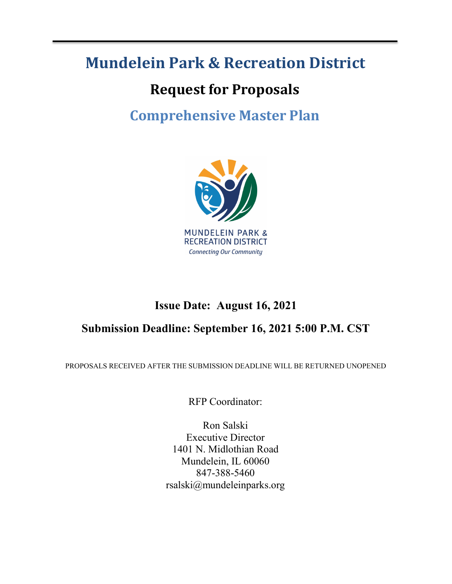# **Mundelein Park & Recreation District**

# **Request for Proposals**

# **Comprehensive Master Plan**



# **Issue Date: August 16, 2021**

# **Submission Deadline: September 16, 2021 5:00 P.M. CST**

PROPOSALS RECEIVED AFTER THE SUBMISSION DEADLINE WILL BE RETURNED UNOPENED

RFP Coordinator:

Ron Salski Executive Director 1401 N. Midlothian Road Mundelein, IL 60060 847-388-5460 rsalski@mundeleinparks.org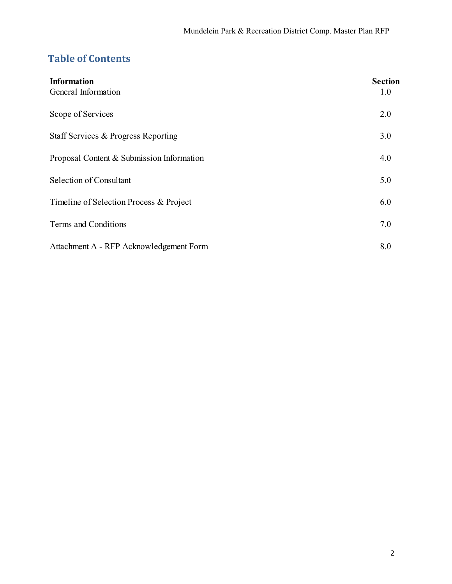# **Table of Contents**

| <b>Information</b><br>General Information | <b>Section</b><br>1.0 |
|-------------------------------------------|-----------------------|
| Scope of Services                         | 2.0                   |
| Staff Services & Progress Reporting       | 3.0                   |
| Proposal Content & Submission Information | 4.0                   |
| Selection of Consultant                   | 5.0                   |
| Timeline of Selection Process & Project   |                       |
| Terms and Conditions                      | 7.0                   |
| Attachment A - RFP Acknowledgement Form   | 8.0                   |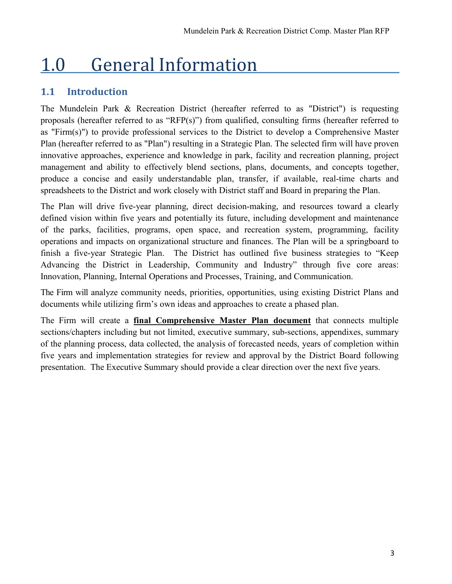# 1.0 General Information

## **1.1 Introduction**

The Mundelein Park & Recreation District (hereafter referred to as "District") is requesting proposals (hereafter referred to as "RFP(s)") from qualified, consulting firms (hereafter referred to as "Firm(s)") to provide professional services to the District to develop a Comprehensive Master Plan (hereafter referred to as "Plan") resulting in a Strategic Plan. The selected firm will have proven innovative approaches, experience and knowledge in park, facility and recreation planning, project management and ability to effectively blend sections, plans, documents, and concepts together, produce a concise and easily understandable plan, transfer, if available, real-time charts and spreadsheets to the District and work closely with District staff and Board in preparing the Plan.

The Plan will drive five-year planning, direct decision-making, and resources toward a clearly defined vision within five years and potentially its future, including development and maintenance of the parks, facilities, programs, open space, and recreation system, programming, facility operations and impacts on organizational structure and finances. The Plan will be a springboard to finish a five-year Strategic Plan. The District has outlined five business strategies to "Keep Advancing the District in Leadership, Community and Industry" through five core areas: Innovation, Planning, Internal Operations and Processes, Training, and Communication.

The Firm will analyze community needs, priorities, opportunities, using existing District Plans and documents while utilizing firm's own ideas and approaches to create a phased plan.

The Firm will create a **final Comprehensive Master Plan document** that connects multiple sections/chapters including but not limited, executive summary, sub-sections, appendixes, summary of the planning process, data collected, the analysis of forecasted needs, years of completion within five years and implementation strategies for review and approval by the District Board following presentation. The Executive Summary should provide a clear direction over the next five years.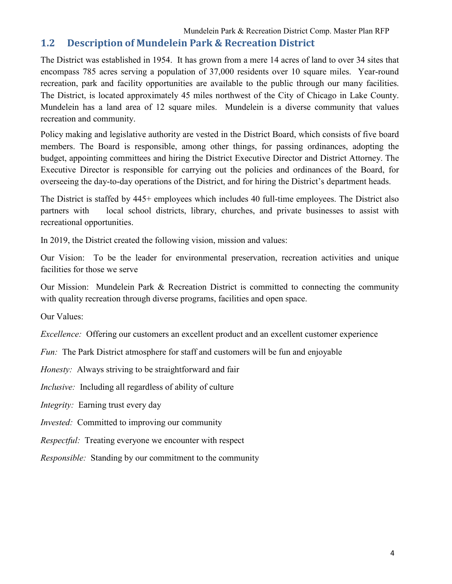#### Mundelein Park & Recreation District Comp. Master Plan RFP

#### **1.2 Description of Mundelein Park & Recreation District**

The District was established in 1954. It has grown from a mere 14 acres of land to over 34 sites that encompass 785 acres serving a population of 37,000 residents over 10 square miles. Year-round recreation, park and facility opportunities are available to the public through our many facilities. The District, is located approximately 45 miles northwest of the City of Chicago in Lake County. Mundelein has a land area of 12 square miles. Mundelein is a diverse community that values recreation and community.

Policy making and legislative authority are vested in the District Board, which consists of five board members. The Board is responsible, among other things, for passing ordinances, adopting the budget, appointing committees and hiring the District Executive Director and District Attorney. The Executive Director is responsible for carrying out the policies and ordinances of the Board, for overseeing the day-to-day operations of the District, and for hiring the District's department heads.

The District is staffed by 445+ employees which includes 40 full-time employees. The District also partners with local school districts, library, churches, and private businesses to assist with recreational opportunities.

In 2019, the District created the following vision, mission and values:

Our Vision: To be the leader for environmental preservation, recreation activities and unique facilities for those we serve

Our Mission: Mundelein Park & Recreation District is committed to connecting the community with quality recreation through diverse programs, facilities and open space.

Our Values:

*Excellence:* Offering our customers an excellent product and an excellent customer experience

*Fun:* The Park District atmosphere for staff and customers will be fun and enjoyable

*Honesty:* Always striving to be straightforward and fair

*Inclusive:* Including all regardless of ability of culture

*Integrity:* Earning trust every day

*Invested:* Committed to improving our community

*Respectful:* Treating everyone we encounter with respect

*Responsible:* Standing by our commitment to the community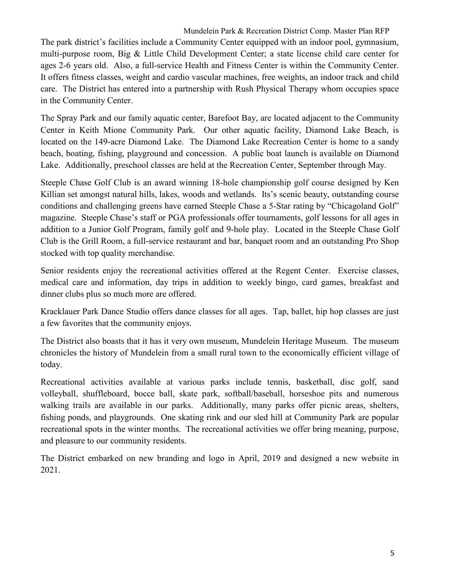Mundelein Park & Recreation District Comp. Master Plan RFP

The park district's facilities include a Community Center equipped with an indoor pool, gymnasium, multi-purpose room, Big & Little Child Development Center; a state license child care center for ages 2-6 years old. Also, a full-service Health and Fitness Center is within the Community Center. It offers fitness classes, weight and cardio vascular machines, free weights, an indoor track and child care. The District has entered into a partnership with Rush Physical Therapy whom occupies space in the Community Center.

The Spray Park and our family aquatic center, Barefoot Bay, are located adjacent to the Community Center in Keith Mione Community Park. Our other aquatic facility, Diamond Lake Beach, is located on the 149-acre Diamond Lake. The Diamond Lake Recreation Center is home to a sandy beach, boating, fishing, playground and concession. A public boat launch is available on Diamond Lake. Additionally, preschool classes are held at the Recreation Center, September through May.

Steeple Chase Golf Club is an award winning 18-hole championship golf course designed by Ken Killian set amongst natural hills, lakes, woods and wetlands. Its's scenic beauty, outstanding course conditions and challenging greens have earned Steeple Chase a 5-Star rating by "Chicagoland Golf" magazine. Steeple Chase's staff or PGA professionals offer tournaments, golf lessons for all ages in addition to a Junior Golf Program, family golf and 9-hole play. Located in the Steeple Chase Golf Club is the Grill Room, a full-service restaurant and bar, banquet room and an outstanding Pro Shop stocked with top quality merchandise.

Senior residents enjoy the recreational activities offered at the Regent Center. Exercise classes, medical care and information, day trips in addition to weekly bingo, card games, breakfast and dinner clubs plus so much more are offered.

Kracklauer Park Dance Studio offers dance classes for all ages. Tap, ballet, hip hop classes are just a few favorites that the community enjoys.

The District also boasts that it has it very own museum, Mundelein Heritage Museum. The museum chronicles the history of Mundelein from a small rural town to the economically efficient village of today.

Recreational activities available at various parks include tennis, basketball, disc golf, sand volleyball, shuffleboard, bocce ball, skate park, softball/baseball, horseshoe pits and numerous walking trails are available in our parks. Additionally, many parks offer picnic areas, shelters, fishing ponds, and playgrounds. One skating rink and our sled hill at Community Park are popular recreational spots in the winter months. The recreational activities we offer bring meaning, purpose, and pleasure to our community residents.

The District embarked on new branding and logo in April, 2019 and designed a new website in 2021.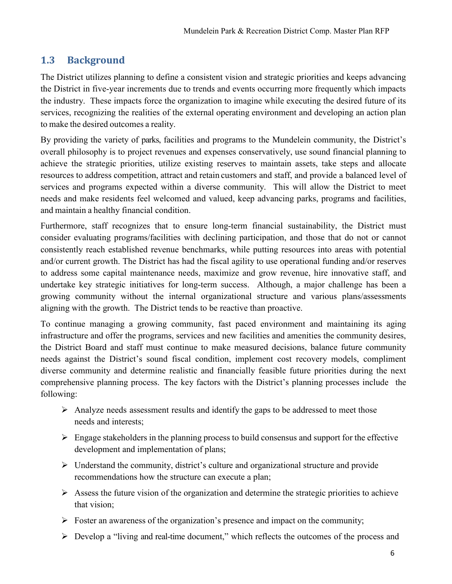# **1.3 Background**

The District utilizes planning to define a consistent vision and strategic priorities and keeps advancing the District in five-year increments due to trends and events occurring more frequently which impacts the industry. These impacts force the organization to imagine while executing the desired future of its services, recognizing the realities of the external operating environment and developing an action plan to make the desired outcomes a reality.

By providing the variety of parks, facilities and programs to the Mundelein community, the District's overall philosophy is to project revenues and expenses conservatively, use sound financial planning to achieve the strategic priorities, utilize existing reserves to maintain assets, take steps and allocate resources to address competition, attract and retain customers and staff, and provide a balanced level of services and programs expected within a diverse community. This will allow the District to meet needs and make residents feel welcomed and valued, keep advancing parks, programs and facilities, and maintain a healthy financial condition.

Furthermore, staff recognizes that to ensure long-term financial sustainability, the District must consider evaluating programs/facilities with declining participation, and those that do not or cannot consistently reach established revenue benchmarks, while putting resources into areas with potential and/or current growth. The District has had the fiscal agility to use operational funding and/or reserves to address some capital maintenance needs, maximize and grow revenue, hire innovative staff, and undertake key strategic initiatives for long-term success. Although, a major challenge has been a growing community without the internal organizational structure and various plans/assessments aligning with the growth. The District tends to be reactive than proactive.

To continue managing a growing community, fast paced environment and maintaining its aging infrastructure and offer the programs, services and new facilities and amenities the community desires, the District Board and staff must continue to make measured decisions, balance future community needs against the District's sound fiscal condition, implement cost recovery models, compliment diverse community and determine realistic and financially feasible future priorities during the next comprehensive planning process. The key factors with the District's planning processes include the following:

- $\triangleright$  Analyze needs assessment results and identify the gaps to be addressed to meet those needs and interests;
- $\triangleright$  Engage stakeholders in the planning process to build consensus and support for the effective development and implementation of plans;
- $\triangleright$  Understand the community, district's culture and organizational structure and provide recommendations how the structure can execute a plan;
- $\triangleright$  Assess the future vision of the organization and determine the strategic priorities to achieve that vision;
- $\triangleright$  Foster an awareness of the organization's presence and impact on the community;
- Develop a "living and real-time document," which reflects the outcomes of the process and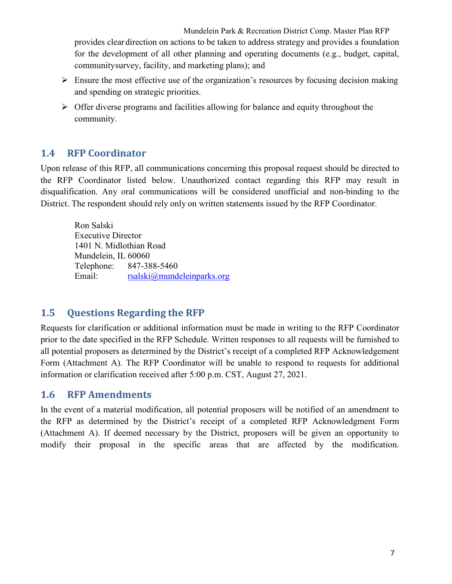Mundelein Park & Recreation District Comp. Master Plan RFP provides clear direction on actions to be taken to address strategy and provides a foundation for the development of all other planning and operating documents (e.g., budget, capital, community survey, facility, and marketing plans); and

- $\triangleright$  Ensure the most effective use of the organization's resources by focusing decision making and spending on strategic priorities.
- $\triangleright$  Offer diverse programs and facilities allowing for balance and equity throughout the community.

#### **1.4 RFP Coordinator**

Upon release of this RFP, all communications concerning this proposal request should be directed to the RFP Coordinator listed below. Unauthorized contact regarding this RFP may result in disqualification. Any oral communications will be considered unofficial and non-binding to the District. The respondent should rely only on written statements issued by the RFP Coordinator.

Ron Salski Executive Director 1401 N. Midlothian Road Mundelein, IL 60060 Telephone: 847-388-5460 Email: [rsalski@mundeleinparks.org](mailto:rsalski@mundeleinparks.org)

## **1.5 Questions Regarding the RFP**

Requests for clarification or additional information must be made in writing to the RFP Coordinator prior to the date specified in the RFP Schedule. Written responses to all requests will be furnished to all potential proposers as determined by the District's receipt of a completed RFP Acknowledgement Form [\(Attachment A\)](#page-20-0). The RFP Coordinator will be unable to respond to requests for additional information or clarification received after 5:00 p.m. CST, August 27, 2021.

#### **1.6 RFP Amendments**

In the event of a material modification, all potential proposers will be notified of an amendment to the RFP as determined by the District's receipt of a completed RFP Acknowledgment Form [\(Attachment A\)](#page-20-0). If deemed necessary by the District, proposers will be given an opportunity to modify their proposal in the specific areas that are affected by the modification.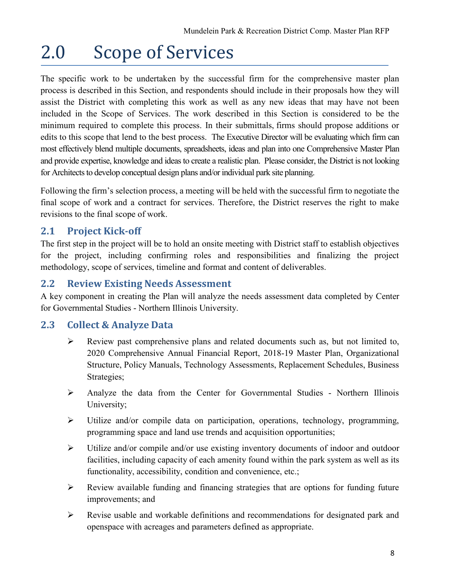# 2.0 Scope of Services

The specific work to be undertaken by the successful firm for the comprehensive master plan process is described in this Section, and respondents should include in their proposals how they will assist the District with completing this work as well as any new ideas that may have not been included in the Scope of Services. The work described in this Section is considered to be the minimum required to complete this process. In their submittals, firms should propose additions or edits to this scope that lend to the best process. The Executive Director will be evaluating which firm can most effectively blend multiple documents, spreadsheets, ideas and plan into one Comprehensive Master Plan and provide expertise, knowledge and ideas to create a realistic plan. Please consider, the District is not looking for Architects to develop conceptual design plans and/or individual park site planning.

Following the firm's selection process, a meeting will be held with the successful firm to negotiate the final scope of work and a contract for services. Therefore, the District reserves the right to make revisions to the final scope of work.

# **2.1 Project Kick-off**

The first step in the project will be to hold an onsite meeting with District staff to establish objectives for the project, including confirming roles and responsibilities and finalizing the project methodology, scope of services, timeline and format and content of deliverables.

### **2.2 Review Existing Needs Assessment**

A key component in creating the Plan will analyze the needs assessment data completed by Center for Governmental Studies - Northern Illinois University.

## **2.3 Collect & Analyze Data**

- [Review past comprehensive plans and related documents such as, but not limited to,](https://www.algonquin.org/egov/documents/1556641689_30176.pdf)  [2020 Comprehensive Annual Financial Report, 2018-19 Master Plan, Organizational](https://www.algonquin.org/egov/documents/1556641689_30176.pdf)  [Structure, Policy Manuals, Technology Assessments, Replacement Schedules, Business](https://www.algonquin.org/egov/documents/1556641689_30176.pdf)  [Strategies;](https://www.algonquin.org/egov/documents/1556641689_30176.pdf)
- Analyze the data from the Center for Governmental Studies Northern Illinois University;
- Utilize and/or compile data on participation, operations, technology, programming, programming space and land use trends and acquisition opportunities;
- Utilize and/or compile and/or use existing inventory documents of indoor and outdoor facilities, including capacity of each amenity found within the park system as well as its functionality, accessibility, condition and convenience, etc.;
- Review available funding and financing strategies that are options for funding future improvements; and
- Revise usable and workable definitions and recommendations for designated park and openspace with acreages and parameters defined as appropriate.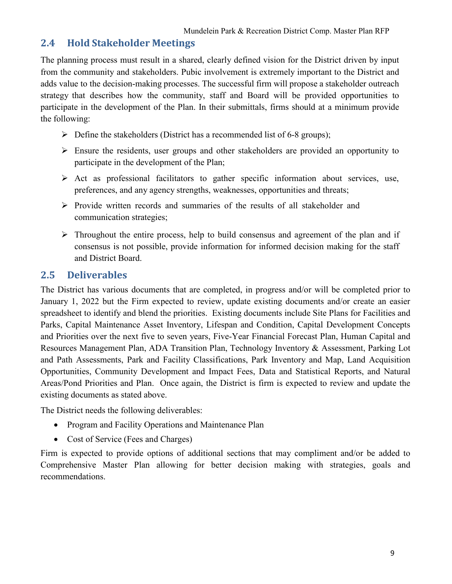### **2.4 Hold Stakeholder Meetings**

The planning process must result in a shared, clearly defined vision for the District driven by input from the community and stakeholders. Pubic involvement is extremely important to the District and adds value to the decision-making processes. The successful firm will propose a stakeholder outreach strategy that describes how the community, staff and Board will be provided opportunities to participate in the development of the Plan. In their submittals, firms should at a minimum provide the following:

- $\triangleright$  Define the stakeholders (District has a recommended list of 6-8 groups);
- $\triangleright$  Ensure the residents, user groups and other stakeholders are provided an opportunity to participate in the development of the Plan;
- $\triangleright$  Act as professional facilitators to gather specific information about services, use, preferences, and any agency strengths, weaknesses, opportunities and threats;
- $\triangleright$  Provide written records and summaries of the results of all stakeholder and communication strategies;
- $\triangleright$  Throughout the entire process, help to build consensus and agreement of the plan and if consensus is not possible, provide information for informed decision making for the staff and District Board.

### **2.5 Deliverables**

The District has various documents that are completed, in progress and/or will be completed prior to January 1, 2022 but the Firm expected to review, update existing documents and/or create an easier spreadsheet to identify and blend the priorities. Existing documents include Site Plans for Facilities and Parks, Capital Maintenance Asset Inventory, Lifespan and Condition, Capital Development Concepts and Priorities over the next five to seven years, Five-Year Financial Forecast Plan, Human Capital and Resources Management Plan, ADA Transition Plan, Technology Inventory & Assessment, Parking Lot and Path Assessments, Park and Facility Classifications, Park Inventory and Map, Land Acquisition Opportunities, Community Development and Impact Fees, Data and Statistical Reports, and Natural Areas/Pond Priorities and Plan. Once again, the District is firm is expected to review and update the existing documents as stated above.

The District needs the following deliverables:

- Program and Facility Operations and Maintenance Plan
- Cost of Service (Fees and Charges)

Firm is expected to provide options of additional sections that may compliment and/or be added to Comprehensive Master Plan allowing for better decision making with strategies, goals and recommendations.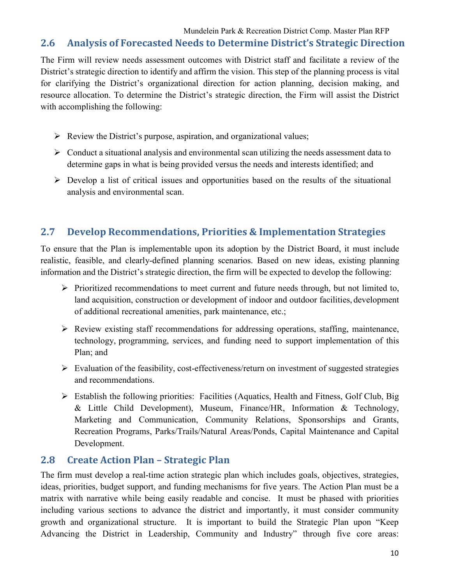### **2.6 Analysis of Forecasted Needs to Determine District's Strategic Direction**

The Firm will review needs assessment outcomes with District staff and facilitate a review of the District's strategic direction to identify and affirm the vision. This step of the planning process is vital for clarifying the District's organizational direction for action planning, decision making, and resource allocation. To determine the District's strategic direction, the Firm will assist the District with accomplishing the following:

- $\triangleright$  Review the District's purpose, aspiration, and organizational values;
- $\triangleright$  Conduct a situational analysis and environmental scan utilizing the needs assessment data to determine gaps in what is being provided versus the needs and interests identified; and
- $\triangleright$  Develop a list of critical issues and opportunities based on the results of the situational analysis and environmental scan.

## **2.7 Develop Recommendations, Priorities & Implementation Strategies**

To ensure that the Plan is implementable upon its adoption by the District Board, it must include realistic, feasible, and clearly-defined planning scenarios. Based on new ideas, existing planning information and the District's strategic direction, the firm will be expected to develop the following:

- $\triangleright$  Prioritized recommendations to meet current and future needs through, but not limited to, land acquisition, construction or development of indoor and outdoor facilities, development of additional recreational amenities, park maintenance, etc.;
- $\triangleright$  Review existing staff recommendations for addressing operations, staffing, maintenance, technology, programming, services, and funding need to support implementation of this Plan; and
- $\triangleright$  Evaluation of the feasibility, cost-effectiveness/return on investment of suggested strategies and recommendations.
- $\triangleright$  Establish the following priorities: Facilities (Aquatics, Health and Fitness, Golf Club, Big & Little Child Development), Museum, Finance/HR, Information & Technology, Marketing and Communication, Community Relations, Sponsorships and Grants, Recreation Programs, Parks/Trails/Natural Areas/Ponds, Capital Maintenance and Capital Development.

#### **2.8 Create Action Plan – Strategic Plan**

The firm must develop a real-time action strategic plan which includes goals, objectives, strategies, ideas, priorities, budget support, and funding mechanisms for five years. The Action Plan must be a matrix with narrative while being easily readable and concise. It must be phased with priorities including various sections to advance the district and importantly, it must consider community growth and organizational structure. It is important to build the Strategic Plan upon "Keep Advancing the District in Leadership, Community and Industry" through five core areas: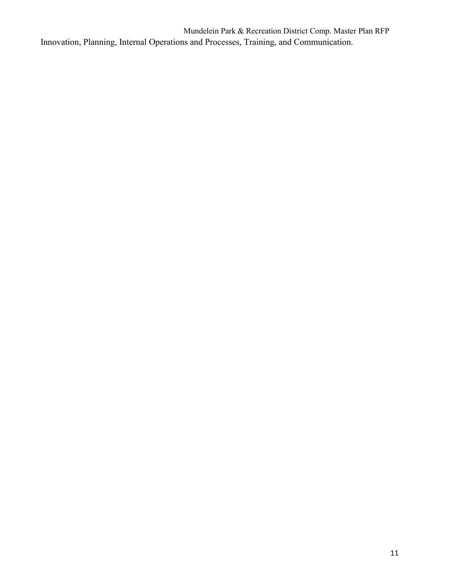Mundelein Park & Recreation District Comp. Master Plan RFP Innovation, Planning, Internal Operations and Processes, Training, and Communication.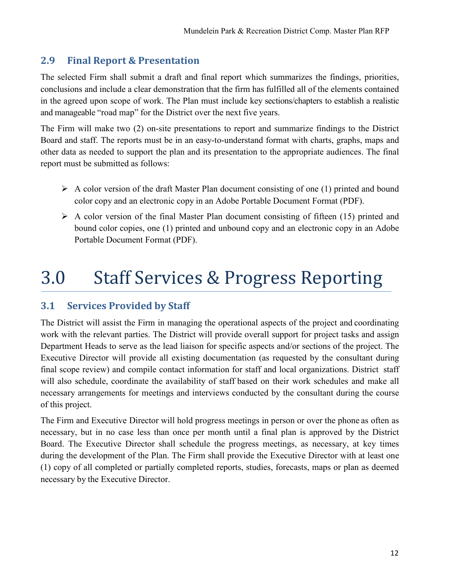# **2.9 Final Report & Presentation**

The selected Firm shall submit a draft and final report which summarizes the findings, priorities, conclusions and include a clear demonstration that the firm has fulfilled all of the elements contained in the agreed upon scope of work. The Plan must include key sections/chapters to establish a realistic and manageable "road map" for the District over the next five years.

The Firm will make two (2) on-site presentations to report and summarize findings to the District Board and staff. The reports must be in an easy-to-understand format with charts, graphs, maps and other data as needed to support the plan and its presentation to the appropriate audiences. The final report must be submitted as follows:

- $\triangleright$  A color version of the draft Master Plan document consisting of one (1) printed and bound color copy and an electronic copy in an Adobe Portable Document Format (PDF).
- $\triangleright$  A color version of the final Master Plan document consisting of fifteen (15) printed and bound color copies, one (1) printed and unbound copy and an electronic copy in an Adobe Portable Document Format (PDF).

# 3.0 Staff Services & Progress Reporting

# **3.1 Services Provided by Staff**

The District will assist the Firm in managing the operational aspects of the project and coordinating work with the relevant parties. The District will provide overall support for project tasks and assign Department Heads to serve as the lead liaison for specific aspects and/or sections of the project. The Executive Director will provide all existing documentation (as requested by the consultant during final scope review) and compile contact information for staff and local organizations. District staff will also schedule, coordinate the availability of staff based on their work schedules and make all necessary arrangements for meetings and interviews conducted by the consultant during the course of this project.

The Firm and Executive Director will hold progress meetings in person or over the phone as often as necessary, but in no case less than once per month until a final plan is approved by the District Board. The Executive Director shall schedule the progress meetings, as necessary, at key times during the development of the Plan. The Firm shall provide the Executive Director with at least one (1) copy of all completed or partially completed reports, studies, forecasts, maps or plan as deemed necessary by the Executive Director.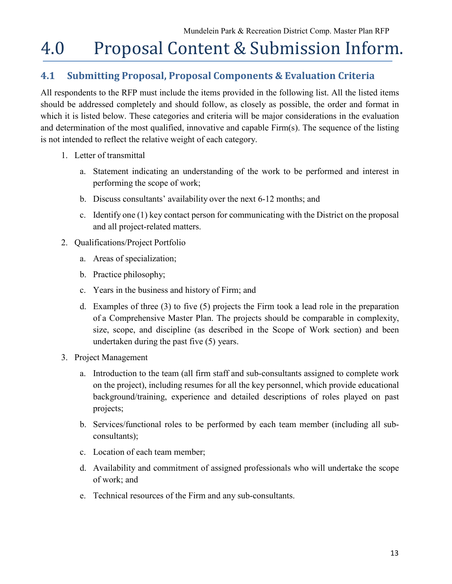# 4.0 Proposal Content & Submission Inform.

# **4.1 Submitting Proposal, Proposal Components & Evaluation Criteria**

All respondents to the RFP must include the items provided in the following list. All the listed items should be addressed completely and should follow, as closely as possible, the order and format in which it is listed below. These categories and criteria will be major considerations in the evaluation and determination of the most qualified, innovative and capable Firm(s). The sequence of the listing is not intended to reflect the relative weight of each category.

- 1. Letter of transmittal
	- a. Statement indicating an understanding of the work to be performed and interest in performing the scope of work;
	- b. Discuss consultants' availability over the next 6-12 months; and
	- c. Identify one (1) key contact person for communicating with the District on the proposal and all project-related matters.
- 2. Qualifications/Project Portfolio
	- a. Areas of specialization;
	- b. Practice philosophy;
	- c. Years in the business and history of Firm; and
	- d. Examples of three (3) to five (5) projects the Firm took a lead role in the preparation of a Comprehensive Master Plan. The projects should be comparable in complexity, size, scope, and discipline (as described in the Scope of Work section) and been undertaken during the past five (5) years.
- 3. Project Management
	- a. Introduction to the team (all firm staff and sub-consultants assigned to complete work on the project), including resumes for all the key personnel, which provide educational background/training, experience and detailed descriptions of roles played on past projects;
	- b. Services/functional roles to be performed by each team member (including all subconsultants);
	- c. Location of each team member;
	- d. Availability and commitment of assigned professionals who will undertake the scope of work; and
	- e. Technical resources of the Firm and any sub-consultants.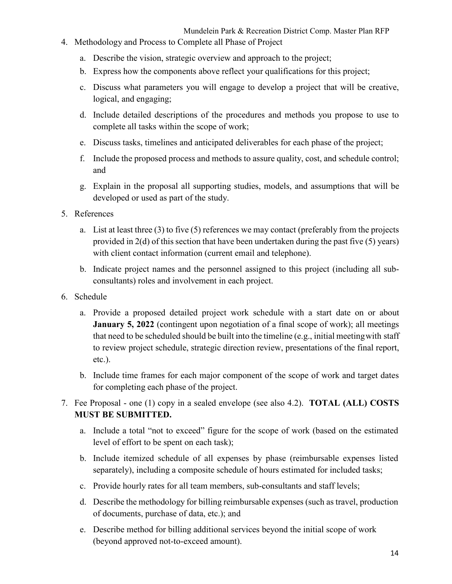- 4. Methodology and Process to Complete all Phase of Project
	- a. Describe the vision, strategic overview and approach to the project;
	- b. Express how the components above reflect your qualifications for this project;
	- c. Discuss what parameters you will engage to develop a project that will be creative, logical, and engaging;
	- d. Include detailed descriptions of the procedures and methods you propose to use to complete all tasks within the scope of work;
	- e. Discuss tasks, timelines and anticipated deliverables for each phase of the project;
	- f. Include the proposed process and methods to assure quality, cost, and schedule control; and
	- g. Explain in the proposal all supporting studies, models, and assumptions that will be developed or used as part of the study.
- 5. References
	- a. List at least three (3) to five (5) references we may contact (preferably from the projects provided in 2(d) of this section that have been undertaken during the past five (5) years) with client contact information (current email and telephone).
	- b. Indicate project names and the personnel assigned to this project (including all subconsultants) roles and involvement in each project.
- 6. Schedule
	- a. Provide a proposed detailed project work schedule with a start date on or about **January 5, 2022** (contingent upon negotiation of a final scope of work); all meetings that need to be scheduled should be built into the timeline (e.g., initial meetingwith staff to review project schedule, strategic direction review, presentations of the final report, etc.).
	- b. Include time frames for each major component of the scope of work and target dates for completing each phase of the project.
- 7. Fee Proposal one (1) copy in a sealed envelope (see also 4.2). **TOTAL (ALL) COSTS MUST BE SUBMITTED.**
	- a. Include a total "not to exceed" figure for the scope of work (based on the estimated level of effort to be spent on each task);
	- b. Include itemized schedule of all expenses by phase (reimbursable expenses listed separately), including a composite schedule of hours estimated for included tasks;
	- c. Provide hourly rates for all team members, sub-consultants and staff levels;
	- d. Describe the methodology for billing reimbursable expenses (such as travel, production of documents, purchase of data, etc.); and
	- e. Describe method for billing additional services beyond the initial scope of work (beyond approved not-to-exceed amount).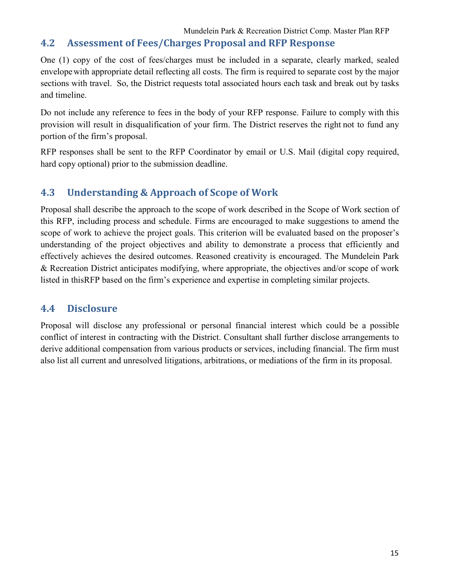#### Mundelein Park & Recreation District Comp. Master Plan RFP

#### **4.2 Assessment of Fees/Charges Proposal and RFP Response**

One (1) copy of the cost of fees/charges must be included in a separate, clearly marked, sealed envelopewith appropriate detail reflecting all costs. The firm is required to separate cost by the major sections with travel. So, the District requests total associated hours each task and break out by tasks and timeline.

Do not include any reference to fees in the body of your RFP response. Failure to comply with this provision will result in disqualification of your firm. The District reserves the right not to fund any portion of the firm's proposal.

RFP responses shall be sent to the RFP Coordinator by email or U.S. Mail (digital copy required, hard copy optional) prior to the submission deadline.

#### **4.3 Understanding & Approach of Scope of Work**

Proposal shall describe the approach to the scope of work described in the Scope of Work section of this RFP, including process and schedule. Firms are encouraged to make suggestions to amend the scope of work to achieve the project goals. This criterion will be evaluated based on the proposer's understanding of the project objectives and ability to demonstrate a process that efficiently and effectively achieves the desired outcomes. Reasoned creativity is encouraged. The Mundelein Park & Recreation District anticipates modifying, where appropriate, the objectives and/or scope of work listed in thisRFP based on the firm's experience and expertise in completing similar projects.

#### **4.4 Disclosure**

Proposal will disclose any professional or personal financial interest which could be a possible conflict of interest in contracting with the District. Consultant shall further disclose arrangements to derive additional compensation from various products or services, including financial. The firm must also list all current and unresolved litigations, arbitrations, or mediations of the firm in its proposal.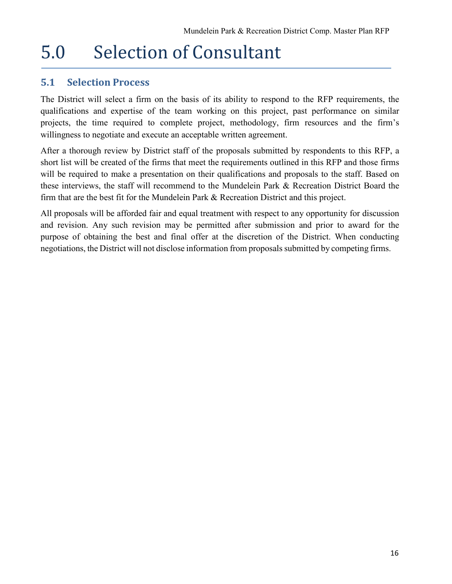# 5.0 Selection of Consultant

### **5.1 Selection Process**

The District will select a firm on the basis of its ability to respond to the RFP requirements, the qualifications and expertise of the team working on this project, past performance on similar projects, the time required to complete project, methodology, firm resources and the firm's willingness to negotiate and execute an acceptable written agreement.

After a thorough review by District staff of the proposals submitted by respondents to this RFP, a short list will be created of the firms that meet the requirements outlined in this RFP and those firms will be required to make a presentation on their qualifications and proposals to the staff. Based on these interviews, the staff will recommend to the Mundelein Park & Recreation District Board the firm that are the best fit for the Mundelein Park & Recreation District and this project.

All proposals will be afforded fair and equal treatment with respect to any opportunity for discussion and revision. Any such revision may be permitted after submission and prior to award for the purpose of obtaining the best and final offer at the discretion of the District. When conducting negotiations, the District will not disclose information from proposals submitted by competing firms.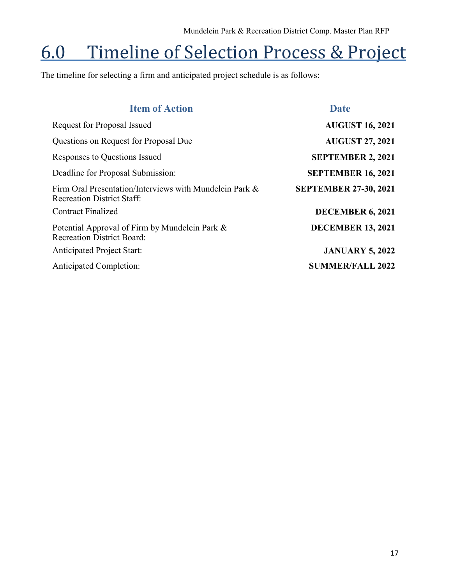# 6.0 Timeline of Selection Process & Project

The timeline for selecting a firm and anticipated project schedule is as follows:

| <b>Date</b>                  |
|------------------------------|
| <b>AUGUST 16, 2021</b>       |
| <b>AUGUST 27, 2021</b>       |
| <b>SEPTEMBER 2, 2021</b>     |
| <b>SEPTEMBER 16, 2021</b>    |
| <b>SEPTEMBER 27-30, 2021</b> |
| <b>DECEMBER 6, 2021</b>      |
| <b>DECEMBER 13, 2021</b>     |
| <b>JANUARY 5, 2022</b>       |
| <b>SUMMER/FALL 2022</b>      |
|                              |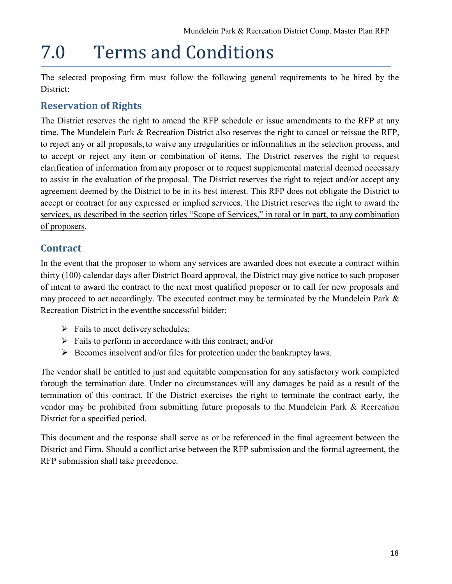# 7.0 Terms and Conditions

The selected proposing firm must follow the following general requirements to be hired by the District:

# **Reservation of Rights**

The District reserves the right to amend the RFP schedule or issue amendments to the RFP at any time. The Mundelein Park & Recreation District also reserves the right to cancel or reissue the RFP, to reject any or all proposals, to waive any irregularities or informalities in the selection process, and to accept or reject any item or combination of items. The District reserves the right to request clarification of information from any proposer or to request supplemental material deemed necessary to assist in the evaluation of the proposal. The District reserves the right to reject and/or accept any agreement deemed by the District to be in its best interest. This RFP does not obligate the District to accept or contract for any expressed or implied services. The District reserves the right to award the services, as described in the section titles "Scope of Services," in total or in part, to any combination of proposers.

# **Contract**

In the event that the proposer to whom any services are awarded does not execute a contract within thirty (100) calendar days after District Board approval, the District may give notice to such proposer of intent to award the contract to the next most qualified proposer or to call for new proposals and may proceed to act accordingly. The executed contract may be terminated by the Mundelein Park & Recreation District in the eventthe successful bidder:

- $\triangleright$  Fails to meet delivery schedules;
- $\triangleright$  Fails to perform in accordance with this contract; and/or
- $\triangleright$  Becomes insolvent and/or files for protection under the bankruptcy laws.

The vendor shall be entitled to just and equitable compensation for any satisfactory work completed through the termination date. Under no circumstances will any damages be paid as a result of the termination of this contract. If the District exercises the right to terminate the contract early, the vendor may be prohibited from submitting future proposals to the Mundelein Park & Recreation District for a specified period.

This document and the response shall serve as or be referenced in the final agreement between the District and Firm. Should a conflict arise between the RFP submission and the formal agreement, the RFP submission shall take precedence.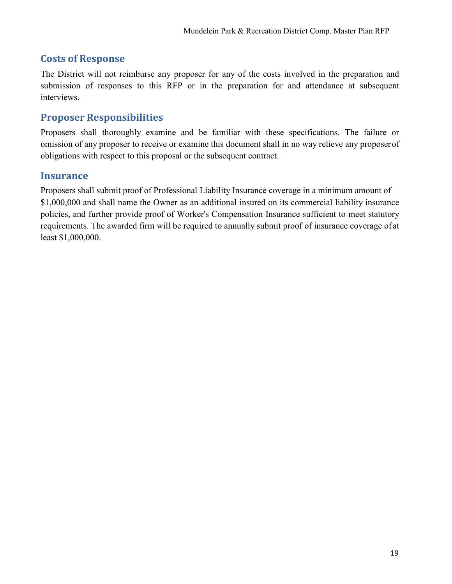### **Costs of Response**

The District will not reimburse any proposer for any of the costs involved in the preparation and submission of responses to this RFP or in the preparation for and attendance at subsequent interviews.

### **Proposer Responsibilities**

Proposers shall thoroughly examine and be familiar with these specifications. The failure or omission of any proposer to receive or examine this document shall in no way relieve any proposerof obligations with respect to this proposal or the subsequent contract.

#### **Insurance**

Proposers shall submit proof of Professional Liability Insurance coverage in a minimum amount of \$1,000,000 and shall name the Owner as an additional insured on its commercial liability insurance policies, and further provide proof of Worker's Compensation Insurance sufficient to meet statutory requirements. The awarded firm will be required to annually submit proof of insurance coverage of at least \$1,000,000.